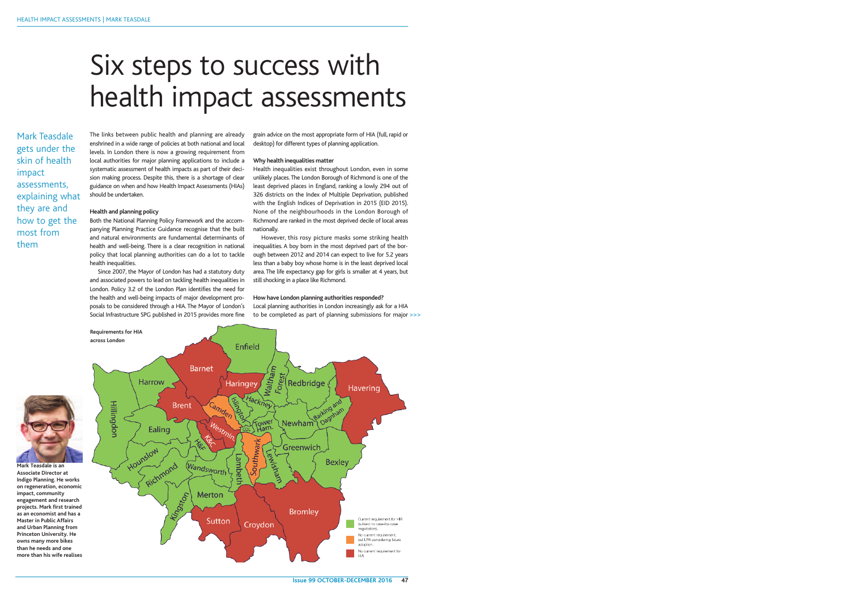**Issue 99 OCTOBER-DECEMBER 2016 47**

Mark Teasdale gets under the skin of health impact assessments, explaining what they are and how to get the most from them

Both the National Planning Policy Framework and the accompanying Planning Practice Guidance recognise that the built and natural environments are fundamental determinants of health and well-being. There is a clear recognition in national policy that local planning authorities can do a lot to tackle health inequalities.

The links between public health and planning are already enshrined in a wide range of policies at both national and local levels. In London there is now a growing requirement from local authorities for major planning applications to include a systematic assessment of health impacts as part of their decision making process. Despite this, there is a shortage of clear guidance on when and how Health Impact Assessments (HIAs) should be undertaken.

## **Health and planning policy**

However, this rosy picture masks some striking health inequalities. A boy born in the most deprived part of the borough between 2012 and 2014 can expect to live for 5.2 years less than a baby boy whose home is in the least deprived local area. The life expectancy gap for girls is smaller at 4 years, but still shocking in a place like Richmond.

Since 2007, the Mayor of London has had a statutory duty and associated powers to lead on tackling health inequalities in London. Policy 3.2 of the London Plan identifies the need for the health and well-being impacts of major development proposals to be considered through a HIA. The Mayor of London's Social Infrastructure SPG published in 2015 provides more fine



grain advice on the most appropriate form of HIA (full, rapid or desktop) for different types of planning application.

#### **Why health inequalities matter**

Health inequalities exist throughout London, even in some unlikely places.The London Borough of Richmond is one of the least deprived places in England, ranking a lowly 294 out of 326 districts on the Index of Multiple Deprivation, published with the English Indices of Deprivation in 2015 (EID 2015). None of the neighbourhoods in the London Borough of Richmond are ranked in the most deprived decile of local areas nationally.

#### **How have London planning authorities responded?**

Local planning authorities in London increasingly ask for a HIA to be completed as part of planning submissions for major >>>

# Six steps to success with health impact assessments